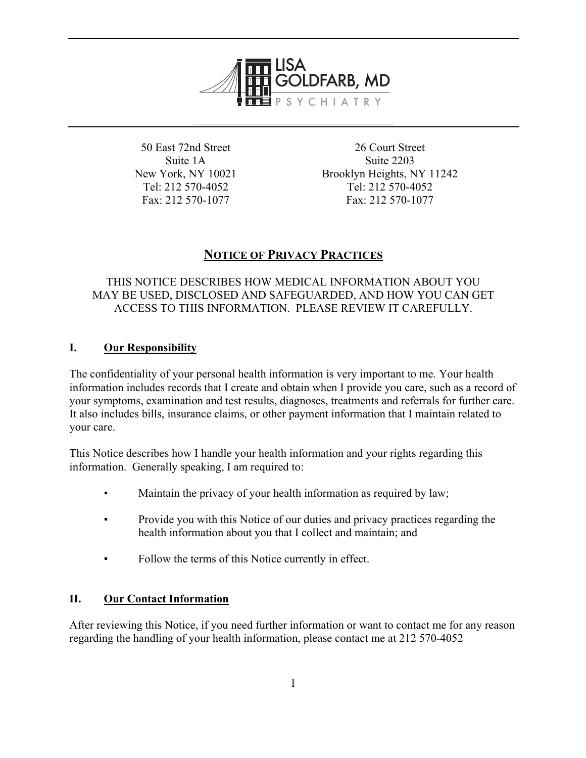

50 East 72nd Street Suite 1A New York, NY 10021 Tel: 212 570-4052 Fax: 212 570-1077

26 Court Street Suite 2203 Brooklyn Heights, NY 11242 Tel: 212 570-4052 Fax: 212 570-1077

# **NOTICE OF PRIVACY PRACTICES**

# THIS NOTICE DESCRIBES HOW MEDICAL INFORMATION ABOUT YOU MAY BE USED, DISCLOSED AND SAFEGUARDED, AND HOW YOU CAN GET ACCESS TO THIS INFORMATION. PLEASE REVIEW IT CAREFULLY.

# **I. Our Responsibility**

The confidentiality of your personal health information is very important to me. Your health information includes records that I create and obtain when I provide you care, such as a record of your symptoms, examination and test results, diagnoses, treatments and referrals for further care. It also includes bills, insurance claims, or other payment information that I maintain related to your care.

This Notice describes how I handle your health information and your rights regarding this information. Generally speaking, I am required to:

- Maintain the privacy of your health information as required by law;
- Provide you with this Notice of our duties and privacy practices regarding the health information about you that I collect and maintain; and
- Follow the terms of this Notice currently in effect.

# **II. Our Contact Information**

After reviewing this Notice, if you need further information or want to contact me for any reason regarding the handling of your health information, please contact me at 212 570-4052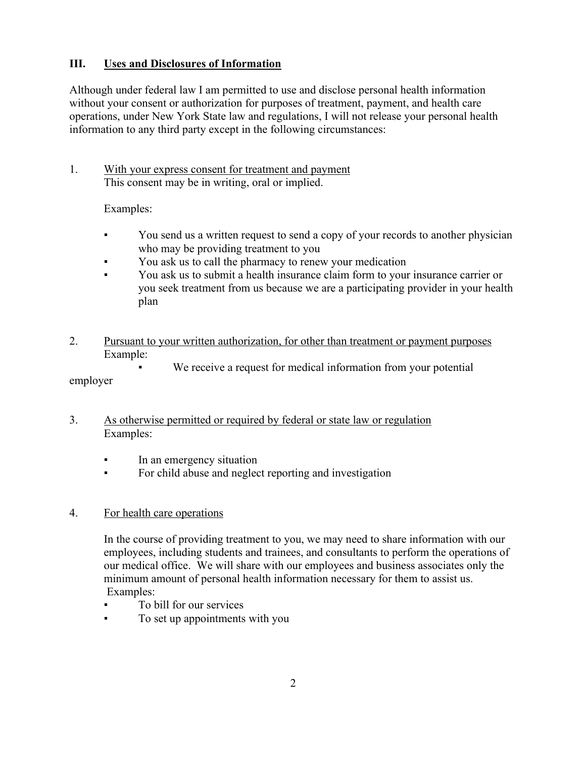## **III. Uses and Disclosures of Information**

Although under federal law I am permitted to use and disclose personal health information without your consent or authorization for purposes of treatment, payment, and health care operations, under New York State law and regulations, I will not release your personal health information to any third party except in the following circumstances:

## 1. With your express consent for treatment and payment This consent may be in writing, oral or implied.

Examples:

- You send us a written request to send a copy of your records to another physician who may be providing treatment to you
- You ask us to call the pharmacy to renew your medication
- You ask us to submit a health insurance claim form to your insurance carrier or you seek treatment from us because we are a participating provider in your health plan
- 2. Pursuant to your written authorization, for other than treatment or payment purposes Example:
	- We receive a request for medical information from your potential

## employer

- 3. As otherwise permitted or required by federal or state law or regulation Examples:
	- In an emergency situation
	- For child abuse and neglect reporting and investigation

## 4. For health care operations

In the course of providing treatment to you, we may need to share information with our employees, including students and trainees, and consultants to perform the operations of our medical office. We will share with our employees and business associates only the minimum amount of personal health information necessary for them to assist us. Examples:

- To bill for our services
- To set up appointments with you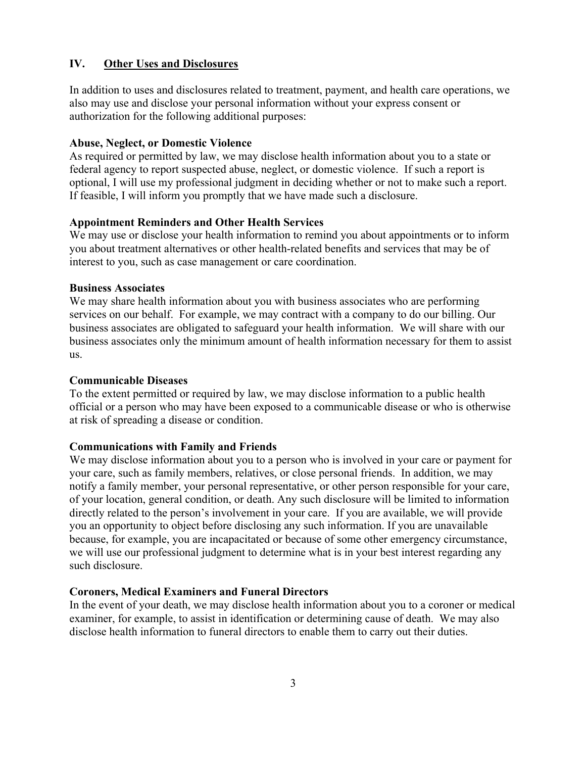## **IV. Other Uses and Disclosures**

In addition to uses and disclosures related to treatment, payment, and health care operations, we also may use and disclose your personal information without your express consent or authorization for the following additional purposes:

#### **Abuse, Neglect, or Domestic Violence**

As required or permitted by law, we may disclose health information about you to a state or federal agency to report suspected abuse, neglect, or domestic violence. If such a report is optional, I will use my professional judgment in deciding whether or not to make such a report. If feasible, I will inform you promptly that we have made such a disclosure.

#### **Appointment Reminders and Other Health Services**

We may use or disclose your health information to remind you about appointments or to inform you about treatment alternatives or other health-related benefits and services that may be of interest to you, such as case management or care coordination.

#### **Business Associates**

We may share health information about you with business associates who are performing services on our behalf. For example, we may contract with a company to do our billing. Our business associates are obligated to safeguard your health information. We will share with our business associates only the minimum amount of health information necessary for them to assist us.

#### **Communicable Diseases**

To the extent permitted or required by law, we may disclose information to a public health official or a person who may have been exposed to a communicable disease or who is otherwise at risk of spreading a disease or condition.

#### **Communications with Family and Friends**

We may disclose information about you to a person who is involved in your care or payment for your care, such as family members, relatives, or close personal friends. In addition, we may notify a family member, your personal representative, or other person responsible for your care, of your location, general condition, or death. Any such disclosure will be limited to information directly related to the person's involvement in your care. If you are available, we will provide you an opportunity to object before disclosing any such information. If you are unavailable because, for example, you are incapacitated or because of some other emergency circumstance, we will use our professional judgment to determine what is in your best interest regarding any such disclosure.

#### **Coroners, Medical Examiners and Funeral Directors**

In the event of your death, we may disclose health information about you to a coroner or medical examiner, for example, to assist in identification or determining cause of death. We may also disclose health information to funeral directors to enable them to carry out their duties.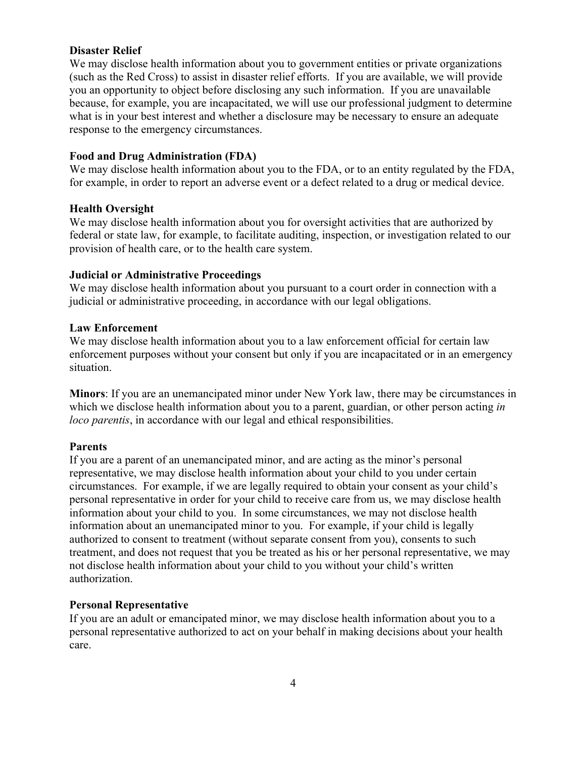#### **Disaster Relief**

We may disclose health information about you to government entities or private organizations (such as the Red Cross) to assist in disaster relief efforts. If you are available, we will provide you an opportunity to object before disclosing any such information. If you are unavailable because, for example, you are incapacitated, we will use our professional judgment to determine what is in your best interest and whether a disclosure may be necessary to ensure an adequate response to the emergency circumstances.

## **Food and Drug Administration (FDA)**

We may disclose health information about you to the FDA, or to an entity regulated by the FDA, for example, in order to report an adverse event or a defect related to a drug or medical device.

## **Health Oversight**

We may disclose health information about you for oversight activities that are authorized by federal or state law, for example, to facilitate auditing, inspection, or investigation related to our provision of health care, or to the health care system.

## **Judicial or Administrative Proceedings**

We may disclose health information about you pursuant to a court order in connection with a judicial or administrative proceeding, in accordance with our legal obligations.

## **Law Enforcement**

We may disclose health information about you to a law enforcement official for certain law enforcement purposes without your consent but only if you are incapacitated or in an emergency situation.

**Minors**: If you are an unemancipated minor under New York law, there may be circumstances in which we disclose health information about you to a parent, guardian, or other person acting *in loco parentis*, in accordance with our legal and ethical responsibilities.

#### **Parents**

If you are a parent of an unemancipated minor, and are acting as the minor's personal representative, we may disclose health information about your child to you under certain circumstances. For example, if we are legally required to obtain your consent as your child's personal representative in order for your child to receive care from us, we may disclose health information about your child to you. In some circumstances, we may not disclose health information about an unemancipated minor to you. For example, if your child is legally authorized to consent to treatment (without separate consent from you), consents to such treatment, and does not request that you be treated as his or her personal representative, we may not disclose health information about your child to you without your child's written authorization.

#### **Personal Representative**

If you are an adult or emancipated minor, we may disclose health information about you to a personal representative authorized to act on your behalf in making decisions about your health care.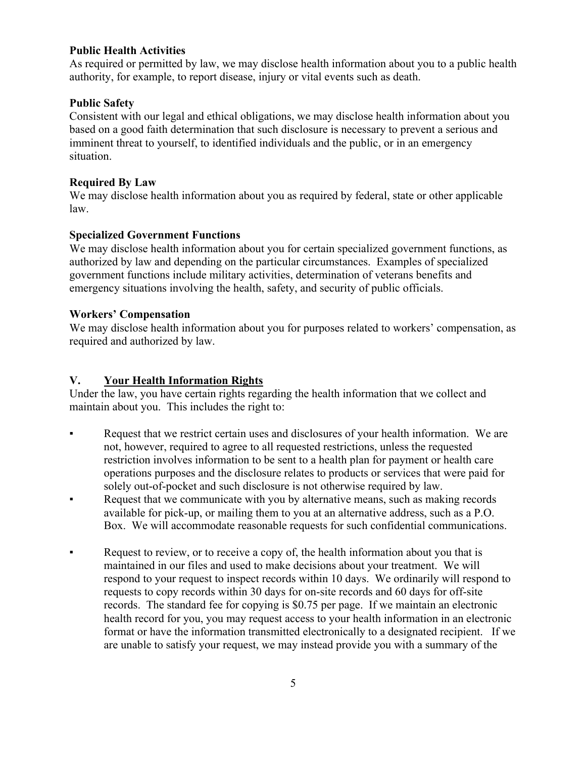## **Public Health Activities**

As required or permitted by law, we may disclose health information about you to a public health authority, for example, to report disease, injury or vital events such as death.

## **Public Safety**

Consistent with our legal and ethical obligations, we may disclose health information about you based on a good faith determination that such disclosure is necessary to prevent a serious and imminent threat to yourself, to identified individuals and the public, or in an emergency situation.

## **Required By Law**

We may disclose health information about you as required by federal, state or other applicable law.

## **Specialized Government Functions**

We may disclose health information about you for certain specialized government functions, as authorized by law and depending on the particular circumstances. Examples of specialized government functions include military activities, determination of veterans benefits and emergency situations involving the health, safety, and security of public officials.

## **Workers' Compensation**

We may disclose health information about you for purposes related to workers' compensation, as required and authorized by law.

## **V. Your Health Information Rights**

Under the law, you have certain rights regarding the health information that we collect and maintain about you. This includes the right to:

- Request that we restrict certain uses and disclosures of your health information. We are not, however, required to agree to all requested restrictions, unless the requested restriction involves information to be sent to a health plan for payment or health care operations purposes and the disclosure relates to products or services that were paid for solely out-of-pocket and such disclosure is not otherwise required by law.
- Request that we communicate with you by alternative means, such as making records available for pick-up, or mailing them to you at an alternative address, such as a P.O. Box. We will accommodate reasonable requests for such confidential communications.
- Request to review, or to receive a copy of, the health information about you that is maintained in our files and used to make decisions about your treatment. We will respond to your request to inspect records within 10 days. We ordinarily will respond to requests to copy records within 30 days for on-site records and 60 days for off-site records. The standard fee for copying is \$0.75 per page. If we maintain an electronic health record for you, you may request access to your health information in an electronic format or have the information transmitted electronically to a designated recipient. If we are unable to satisfy your request, we may instead provide you with a summary of the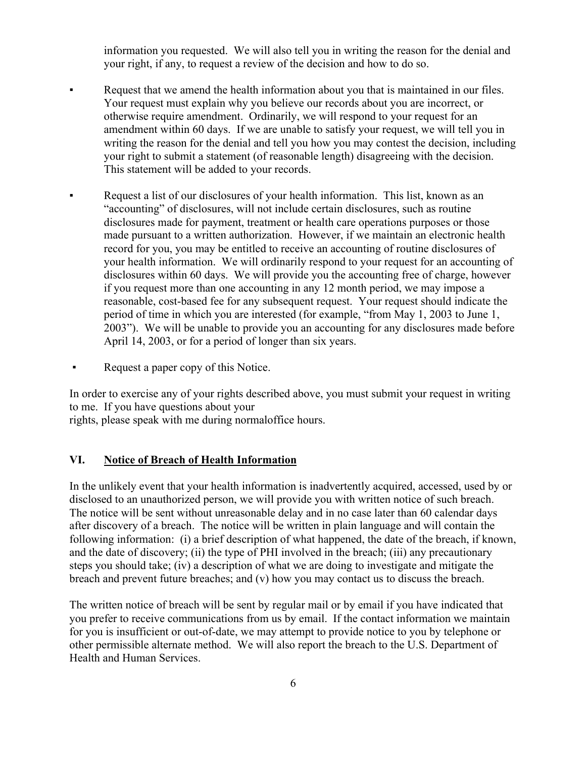information you requested. We will also tell you in writing the reason for the denial and your right, if any, to request a review of the decision and how to do so.

- Request that we amend the health information about you that is maintained in our files. Your request must explain why you believe our records about you are incorrect, or otherwise require amendment. Ordinarily, we will respond to your request for an amendment within 60 days. If we are unable to satisfy your request, we will tell you in writing the reason for the denial and tell you how you may contest the decision, including your right to submit a statement (of reasonable length) disagreeing with the decision. This statement will be added to your records.
- Request a list of our disclosures of your health information. This list, known as an "accounting" of disclosures, will not include certain disclosures, such as routine disclosures made for payment, treatment or health care operations purposes or those made pursuant to a written authorization. However, if we maintain an electronic health record for you, you may be entitled to receive an accounting of routine disclosures of your health information. We will ordinarily respond to your request for an accounting of disclosures within 60 days. We will provide you the accounting free of charge, however if you request more than one accounting in any 12 month period, we may impose a reasonable, cost-based fee for any subsequent request. Your request should indicate the period of time in which you are interested (for example, "from May 1, 2003 to June 1, 2003"). We will be unable to provide you an accounting for any disclosures made before April 14, 2003, or for a period of longer than six years.
- Request a paper copy of this Notice.

In order to exercise any of your rights described above, you must submit your request in writing to me. If you have questions about your

rights, please speak with me during normaloffice hours.

## **VI. Notice of Breach of Health Information**

In the unlikely event that your health information is inadvertently acquired, accessed, used by or disclosed to an unauthorized person, we will provide you with written notice of such breach. The notice will be sent without unreasonable delay and in no case later than 60 calendar days after discovery of a breach. The notice will be written in plain language and will contain the following information: (i) a brief description of what happened, the date of the breach, if known, and the date of discovery; (ii) the type of PHI involved in the breach; (iii) any precautionary steps you should take; (iv) a description of what we are doing to investigate and mitigate the breach and prevent future breaches; and (v) how you may contact us to discuss the breach.

The written notice of breach will be sent by regular mail or by email if you have indicated that you prefer to receive communications from us by email. If the contact information we maintain for you is insufficient or out-of-date, we may attempt to provide notice to you by telephone or other permissible alternate method. We will also report the breach to the U.S. Department of Health and Human Services.